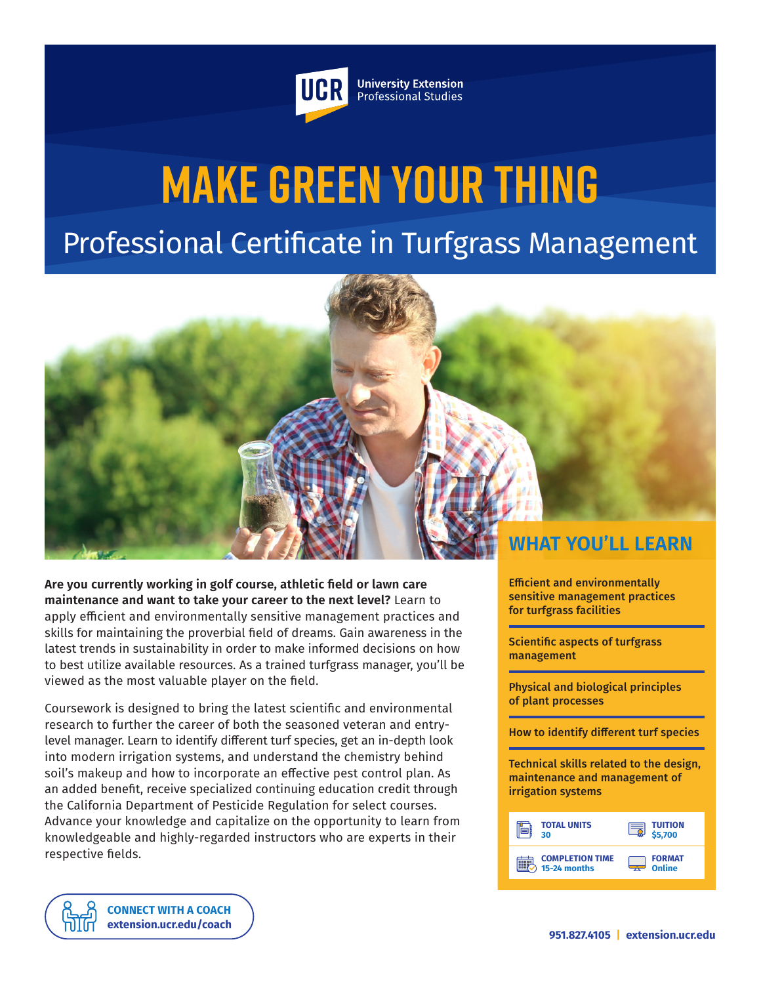

**University Extension** Professional Studies

# **Make Green Your Thing** Professional Certificate in Turfgrass Management



**Are you currently working in golf course, athletic field or lawn care maintenance and want to take your career to the next level?** Learn to apply efficient and environmentally sensitive management practices and skills for maintaining the proverbial field of dreams. Gain awareness in the latest trends in sustainability in order to make informed decisions on how to best utilize available resources. As a trained turfgrass manager, you'll be viewed as the most valuable player on the field.

Coursework is designed to bring the latest scientific and environmental research to further the career of both the seasoned veteran and entrylevel manager. Learn to identify different turf species, get an in-depth look into modern irrigation systems, and understand the chemistry behind soil's makeup and how to incorporate an effective pest control plan. As an added benefit, receive specialized continuing education credit through the California Department of Pesticide Regulation for select courses. Advance your knowledge and capitalize on the opportunity to learn from knowledgeable and highly-regarded instructors who are experts in their respective fields.

> **[CONNECT WITH A COACH](https://extension.ucr.edu/studentresources/studentsuccesscoaches/studentsuccesscoaches) [extension.ucr.edu/coach](http://extension.ucr.edu/coach)**

Efficient and environmentally sensitive management practices for turfgrass facilities

Scientific aspects of turfgrass management

Physical and biological principles of plant processes

How to identify different turf species

Technical skills related to the design, maintenance and management of irrigation systems

| <b>TOTAL UNITS</b>     | <b>TUITION</b> |
|------------------------|----------------|
| ЗO                     | 5,700          |
| <b>COMPLETION TIME</b> | <b>FORMAT</b>  |
| 15-24 months           | Online         |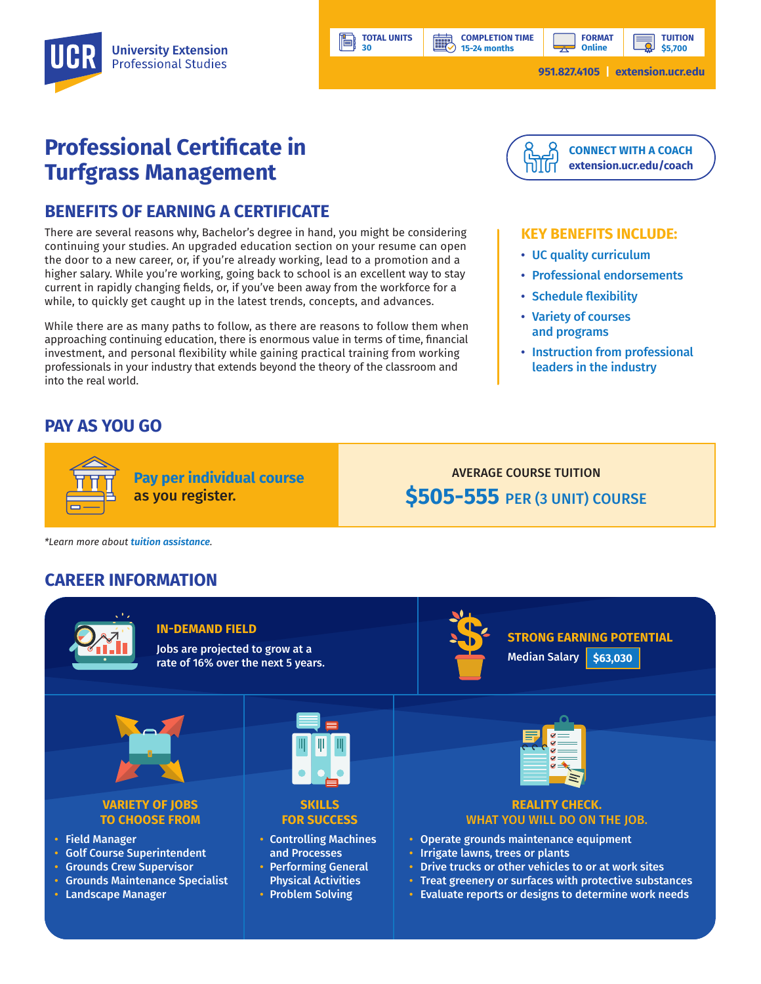**15-24 months**

**BBP** 

**TUITION \$5,700**

## **Professional Certificate in Turfgrass Management**

## **BENEFITS OF EARNING A CERTIFICATE**

There are several reasons why, Bachelor's degree in hand, you might be considering continuing your studies. An upgraded education section on your resume can open the door to a new career, or, if you're already working, lead to a promotion and a higher salary. While you're working, going back to school is an excellent way to stay current in rapidly changing fields, or, if you've been away from the workforce for a while, to quickly get caught up in the latest trends, concepts, and advances.

**TOTAL UNITS 30**

Ħ

While there are as many paths to follow, as there are reasons to follow them when approaching continuing education, there is enormous value in terms of time, financial investment, and personal flexibility while gaining practical training from working professionals in your industry that extends beyond the theory of the classroom and into the real world.

## **PAY AS YOU GO**



#### **KEY BENEFITS INCLUDE:**

- UC quality curriculum
- Professional endorsements
- Schedule flexibility
- Variety of courses and programs
- Instruction from professional leaders in the industry

**Pay per individual course** as you register.

AVERAGE COURSE TUITION **\$505-555** PER (3 UNIT) COURSE

*\*Learn more about tuition assistance.*

### **CAREER INFORMATION**



#### **IN-DEMAND FIELD**

Jobs are projected to grow at a rate of 16% over the next 5 years.



**STRONG EARNING POTENTIAL** Median Salary **\$63,030**



#### **VARIETY OF JOBS TO CHOOSE FROM**

- Field Manager
- Golf Course Superintendent
- Grounds Crew Supervisor
- Grounds Maintenance Specialist
- Landscape Manager



#### **SKILLS FOR SUCCESS**

• Controlling Machines and Processes

- Performing General Physical Activities
- Problem Solving



#### **REALITY CHECK.**  WHAT YOU WILL DO ON THE JOB.

- Operate grounds maintenance equipment
- Irrigate lawns, trees or plants
- Drive trucks or other vehicles to or at work sites
- Treat greenery or surfaces with protective substances
- Evaluate reports or designs to determine work needs